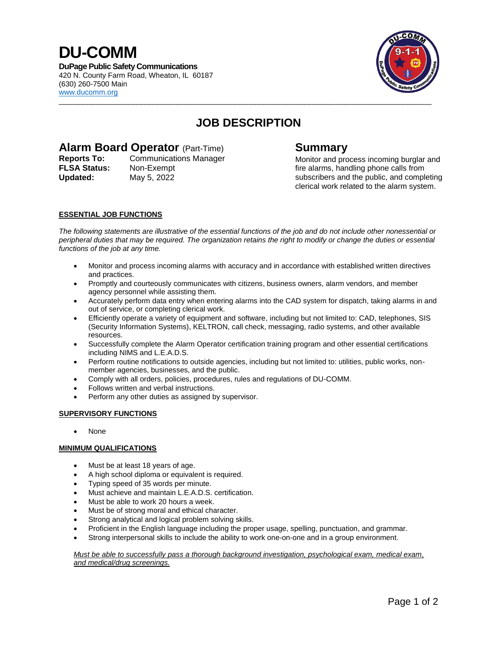## **DU-COMM**

**DuPage Public Safety Communications** 420 N. County Farm Road, Wheaton, IL 60187 (630) 260-7500 Main www.ducomm.org



### **JOB DESCRIPTION**

 $\mathcal{L}_\mathcal{L} = \{ \mathcal{L}_\mathcal{L} = \{ \mathcal{L}_\mathcal{L} = \{ \mathcal{L}_\mathcal{L} = \{ \mathcal{L}_\mathcal{L} = \{ \mathcal{L}_\mathcal{L} = \{ \mathcal{L}_\mathcal{L} = \{ \mathcal{L}_\mathcal{L} = \{ \mathcal{L}_\mathcal{L} = \{ \mathcal{L}_\mathcal{L} = \{ \mathcal{L}_\mathcal{L} = \{ \mathcal{L}_\mathcal{L} = \{ \mathcal{L}_\mathcal{L} = \{ \mathcal{L}_\mathcal{L} = \{ \mathcal{L}_\mathcal{$ 

# **Alarm Board Operator** (Part-Time) **Summary**<br> **Reports To:** Communications Manager Monitor and pro

**FLSA Status:** Non-Exempt **Updated:** May 5, 2022

**Monitor and process incoming burglar and** fire alarms, handling phone calls from subscribers and the public, and completing clerical work related to the alarm system.

### **ESSENTIAL JOB FUNCTIONS**

*The following statements are illustrative of the essential functions of the job and do not include other nonessential or peripheral duties that may be required. The organization retains the right to modify or change the duties or essential functions of the job at any time.*

- Monitor and process incoming alarms with accuracy and in accordance with established written directives and practices.
- Promptly and courteously communicates with citizens, business owners, alarm vendors, and member agency personnel while assisting them.
- Accurately perform data entry when entering alarms into the CAD system for dispatch, taking alarms in and out of service, or completing clerical work.
- Efficiently operate a variety of equipment and software, including but not limited to: CAD, telephones, SIS (Security Information Systems), KELTRON, call check, messaging, radio systems, and other available resources.
- Successfully complete the Alarm Operator certification training program and other essential certifications including NIMS and L.E.A.D.S.
- Perform routine notifications to outside agencies, including but not limited to: utilities, public works, nonmember agencies, businesses, and the public.
- Comply with all orders, policies, procedures, rules and regulations of DU-COMM.
- Follows written and verbal instructions.
- Perform any other duties as assigned by supervisor.

### **SUPERVISORY FUNCTIONS**

None

#### **MINIMUM QUALIFICATIONS**

- Must be at least 18 years of age.
- A high school diploma or equivalent is required.
- Typing speed of 35 words per minute.
- Must achieve and maintain L.E.A.D.S. certification.
- Must be able to work 20 hours a week.
- Must be of strong moral and ethical character.
- Strong analytical and logical problem solving skills.
- Proficient in the English language including the proper usage, spelling, punctuation, and grammar.
- Strong interpersonal skills to include the ability to work one-on-one and in a group environment.

#### *Must be able to successfully pass a thorough background investigation, psychological exam, medical exam, and medical/drug screenings.*